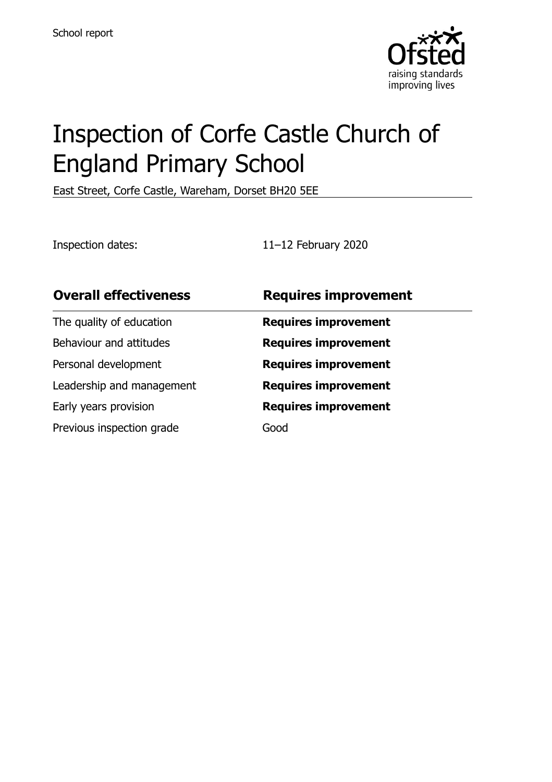

# Inspection of Corfe Castle Church of England Primary School

East Street, Corfe Castle, Wareham, Dorset BH20 5EE

Inspection dates: 11–12 February 2020

| <b>Overall effectiveness</b> | <b>Requires improvement</b> |
|------------------------------|-----------------------------|
| The quality of education     | <b>Requires improvement</b> |
| Behaviour and attitudes      | <b>Requires improvement</b> |
| Personal development         | <b>Requires improvement</b> |
| Leadership and management    | <b>Requires improvement</b> |
| Early years provision        | <b>Requires improvement</b> |
| Previous inspection grade    | Good                        |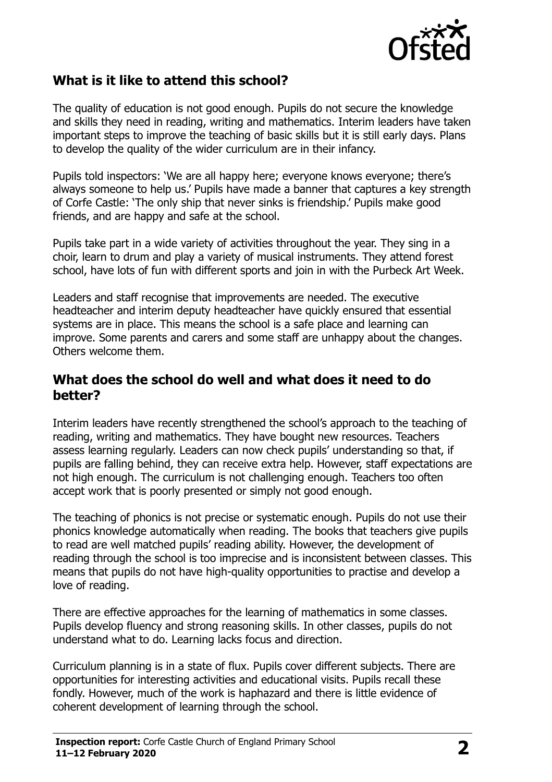

#### **What is it like to attend this school?**

The quality of education is not good enough. Pupils do not secure the knowledge and skills they need in reading, writing and mathematics. Interim leaders have taken important steps to improve the teaching of basic skills but it is still early days. Plans to develop the quality of the wider curriculum are in their infancy.

Pupils told inspectors: 'We are all happy here; everyone knows everyone; there's always someone to help us.' Pupils have made a banner that captures a key strength of Corfe Castle: 'The only ship that never sinks is friendship.' Pupils make good friends, and are happy and safe at the school.

Pupils take part in a wide variety of activities throughout the year. They sing in a choir, learn to drum and play a variety of musical instruments. They attend forest school, have lots of fun with different sports and join in with the Purbeck Art Week.

Leaders and staff recognise that improvements are needed. The executive headteacher and interim deputy headteacher have quickly ensured that essential systems are in place. This means the school is a safe place and learning can improve. Some parents and carers and some staff are unhappy about the changes. Others welcome them.

#### **What does the school do well and what does it need to do better?**

Interim leaders have recently strengthened the school's approach to the teaching of reading, writing and mathematics. They have bought new resources. Teachers assess learning regularly. Leaders can now check pupils' understanding so that, if pupils are falling behind, they can receive extra help. However, staff expectations are not high enough. The curriculum is not challenging enough. Teachers too often accept work that is poorly presented or simply not good enough.

The teaching of phonics is not precise or systematic enough. Pupils do not use their phonics knowledge automatically when reading. The books that teachers give pupils to read are well matched pupils' reading ability. However, the development of reading through the school is too imprecise and is inconsistent between classes. This means that pupils do not have high-quality opportunities to practise and develop a love of reading.

There are effective approaches for the learning of mathematics in some classes. Pupils develop fluency and strong reasoning skills. In other classes, pupils do not understand what to do. Learning lacks focus and direction.

Curriculum planning is in a state of flux. Pupils cover different subjects. There are opportunities for interesting activities and educational visits. Pupils recall these fondly. However, much of the work is haphazard and there is little evidence of coherent development of learning through the school.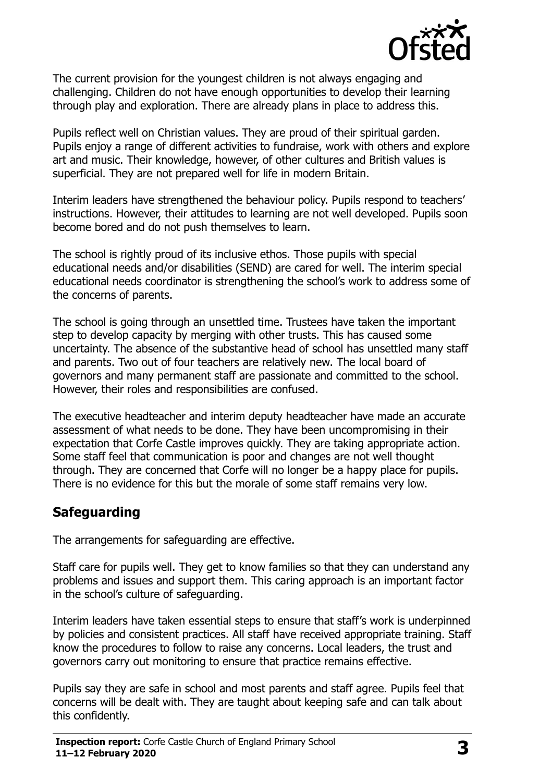

The current provision for the youngest children is not always engaging and challenging. Children do not have enough opportunities to develop their learning through play and exploration. There are already plans in place to address this.

Pupils reflect well on Christian values. They are proud of their spiritual garden. Pupils enjoy a range of different activities to fundraise, work with others and explore art and music. Their knowledge, however, of other cultures and British values is superficial. They are not prepared well for life in modern Britain.

Interim leaders have strengthened the behaviour policy. Pupils respond to teachers' instructions. However, their attitudes to learning are not well developed. Pupils soon become bored and do not push themselves to learn.

The school is rightly proud of its inclusive ethos. Those pupils with special educational needs and/or disabilities (SEND) are cared for well. The interim special educational needs coordinator is strengthening the school's work to address some of the concerns of parents.

The school is going through an unsettled time. Trustees have taken the important step to develop capacity by merging with other trusts. This has caused some uncertainty. The absence of the substantive head of school has unsettled many staff and parents. Two out of four teachers are relatively new. The local board of governors and many permanent staff are passionate and committed to the school. However, their roles and responsibilities are confused.

The executive headteacher and interim deputy headteacher have made an accurate assessment of what needs to be done. They have been uncompromising in their expectation that Corfe Castle improves quickly. They are taking appropriate action. Some staff feel that communication is poor and changes are not well thought through. They are concerned that Corfe will no longer be a happy place for pupils. There is no evidence for this but the morale of some staff remains very low.

#### **Safeguarding**

The arrangements for safeguarding are effective.

Staff care for pupils well. They get to know families so that they can understand any problems and issues and support them. This caring approach is an important factor in the school's culture of safeguarding.

Interim leaders have taken essential steps to ensure that staff's work is underpinned by policies and consistent practices. All staff have received appropriate training. Staff know the procedures to follow to raise any concerns. Local leaders, the trust and governors carry out monitoring to ensure that practice remains effective.

Pupils say they are safe in school and most parents and staff agree. Pupils feel that concerns will be dealt with. They are taught about keeping safe and can talk about this confidently.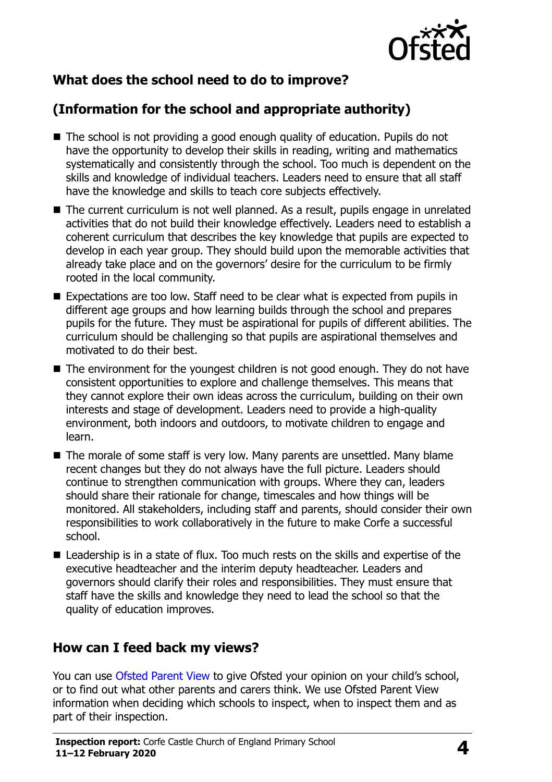

# **What does the school need to do to improve?**

# **(Information for the school and appropriate authority)**

- The school is not providing a good enough quality of education. Pupils do not have the opportunity to develop their skills in reading, writing and mathematics systematically and consistently through the school. Too much is dependent on the skills and knowledge of individual teachers. Leaders need to ensure that all staff have the knowledge and skills to teach core subjects effectively.
- The current curriculum is not well planned. As a result, pupils engage in unrelated activities that do not build their knowledge effectively. Leaders need to establish a coherent curriculum that describes the key knowledge that pupils are expected to develop in each year group. They should build upon the memorable activities that already take place and on the governors' desire for the curriculum to be firmly rooted in the local community.
- Expectations are too low. Staff need to be clear what is expected from pupils in different age groups and how learning builds through the school and prepares pupils for the future. They must be aspirational for pupils of different abilities. The curriculum should be challenging so that pupils are aspirational themselves and motivated to do their best.
- The environment for the youngest children is not good enough. They do not have consistent opportunities to explore and challenge themselves. This means that they cannot explore their own ideas across the curriculum, building on their own interests and stage of development. Leaders need to provide a high-quality environment, both indoors and outdoors, to motivate children to engage and learn.
- The morale of some staff is very low. Many parents are unsettled. Many blame recent changes but they do not always have the full picture. Leaders should continue to strengthen communication with groups. Where they can, leaders should share their rationale for change, timescales and how things will be monitored. All stakeholders, including staff and parents, should consider their own responsibilities to work collaboratively in the future to make Corfe a successful school.
- Leadership is in a state of flux. Too much rests on the skills and expertise of the executive headteacher and the interim deputy headteacher. Leaders and governors should clarify their roles and responsibilities. They must ensure that staff have the skills and knowledge they need to lead the school so that the quality of education improves.

#### **How can I feed back my views?**

You can use [Ofsted Parent View](http://parentview.ofsted.gov.uk/) to give Ofsted your opinion on your child's school, or to find out what other parents and carers think. We use Ofsted Parent View information when deciding which schools to inspect, when to inspect them and as part of their inspection.

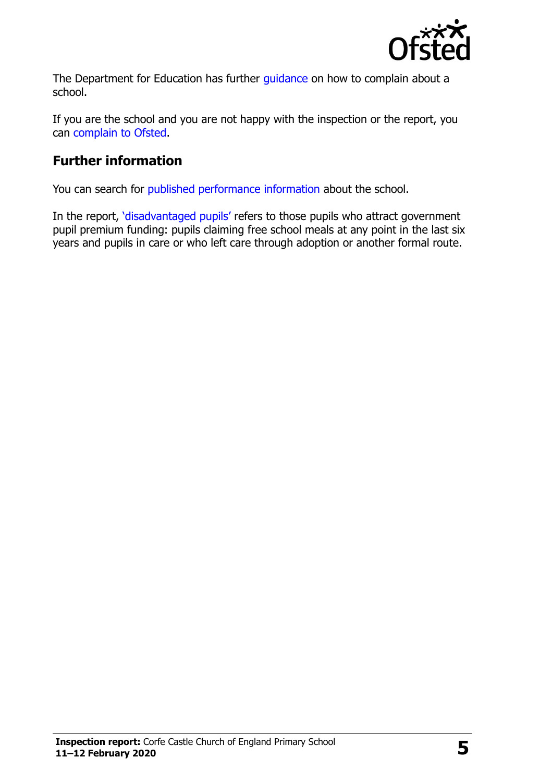

The Department for Education has further quidance on how to complain about a school.

If you are the school and you are not happy with the inspection or the report, you can [complain to Ofsted.](http://www.gov.uk/complain-ofsted-report)

### **Further information**

You can search for [published performance information](http://www.compare-school-performance.service.gov.uk/) about the school.

In the report, '[disadvantaged pupils](http://www.gov.uk/guidance/pupil-premium-information-for-schools-and-alternative-provision-settings)' refers to those pupils who attract government pupil premium funding: pupils claiming free school meals at any point in the last six years and pupils in care or who left care through adoption or another formal route.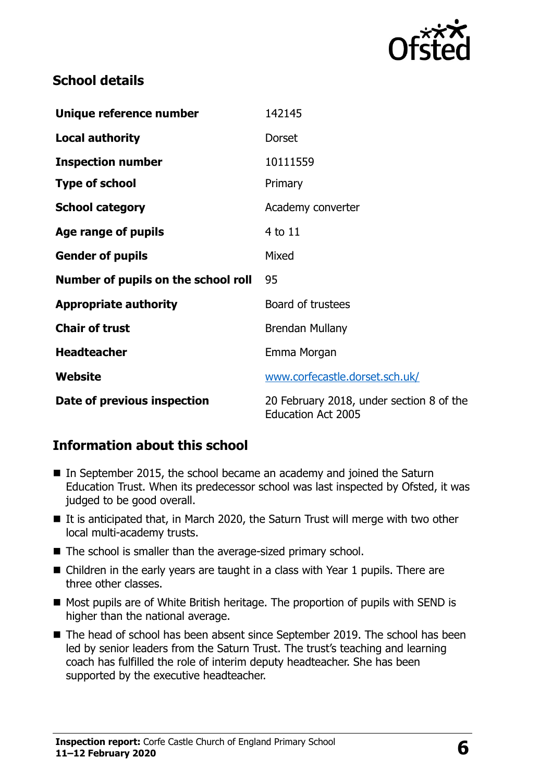

### **School details**

| Unique reference number             | 142145                                                                |
|-------------------------------------|-----------------------------------------------------------------------|
| <b>Local authority</b>              | Dorset                                                                |
| <b>Inspection number</b>            | 10111559                                                              |
| <b>Type of school</b>               | Primary                                                               |
| <b>School category</b>              | Academy converter                                                     |
| Age range of pupils                 | 4 to 11                                                               |
| <b>Gender of pupils</b>             | Mixed                                                                 |
| Number of pupils on the school roll | 95                                                                    |
| <b>Appropriate authority</b>        | Board of trustees                                                     |
| <b>Chair of trust</b>               | <b>Brendan Mullany</b>                                                |
| <b>Headteacher</b>                  | Emma Morgan                                                           |
| <b>Website</b>                      | www.corfecastle.dorset.sch.uk/                                        |
| Date of previous inspection         | 20 February 2018, under section 8 of the<br><b>Education Act 2005</b> |

## **Information about this school**

- In September 2015, the school became an academy and joined the Saturn Education Trust. When its predecessor school was last inspected by Ofsted, it was judged to be good overall.
- It is anticipated that, in March 2020, the Saturn Trust will merge with two other local multi-academy trusts.
- The school is smaller than the average-sized primary school.
- Children in the early years are taught in a class with Year 1 pupils. There are three other classes.
- $\blacksquare$  Most pupils are of White British heritage. The proportion of pupils with SEND is higher than the national average.
- The head of school has been absent since September 2019. The school has been led by senior leaders from the Saturn Trust. The trust's teaching and learning coach has fulfilled the role of interim deputy headteacher. She has been supported by the executive headteacher.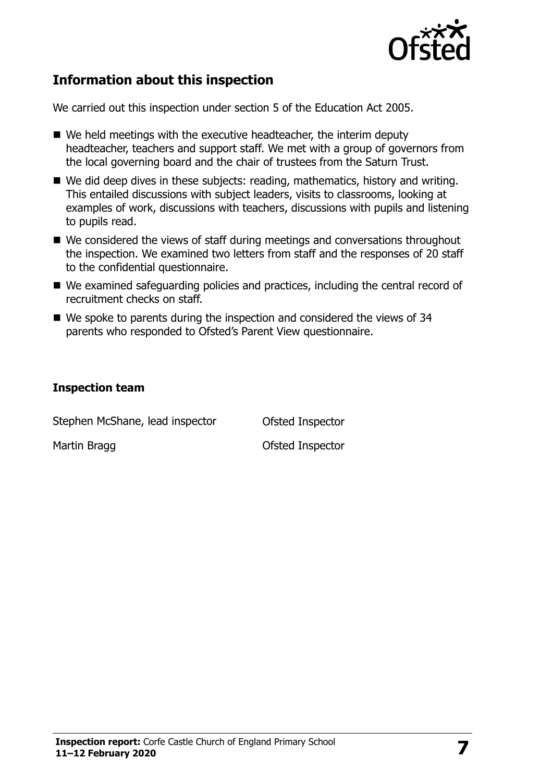

#### **Information about this inspection**

We carried out this inspection under section 5 of the Education Act 2005.

- We held meetings with the executive headteacher, the interim deputy headteacher, teachers and support staff. We met with a group of governors from the local governing board and the chair of trustees from the Saturn Trust.
- We did deep dives in these subjects: reading, mathematics, history and writing. This entailed discussions with subject leaders, visits to classrooms, looking at examples of work, discussions with teachers, discussions with pupils and listening to pupils read.
- We considered the views of staff during meetings and conversations throughout the inspection. We examined two letters from staff and the responses of 20 staff to the confidential questionnaire.
- We examined safeguarding policies and practices, including the central record of recruitment checks on staff.
- We spoke to parents during the inspection and considered the views of 34 parents who responded to Ofsted's Parent View questionnaire.

#### **Inspection team**

Stephen McShane, lead inspector **Ofsted Inspector** Martin Bragg **Contract Contract Contract Contract Contract Contract Contract Contract Contract Contract Contract Contract Contract Contract Contract Contract Contract Contract Contract Contract Contract Contract Contract C**